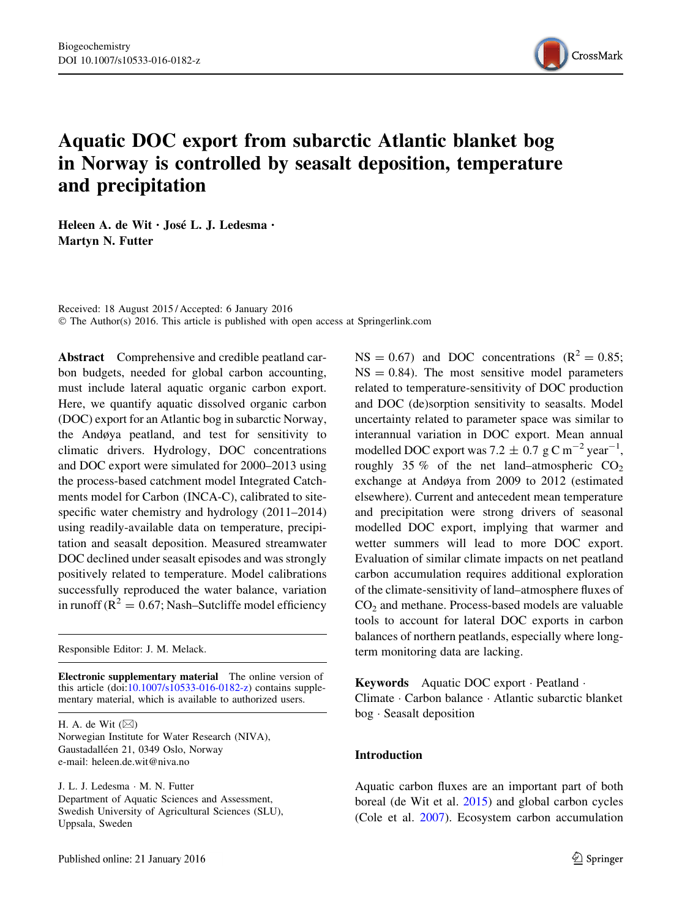

# Aquatic DOC export from subarctic Atlantic blanket bog in Norway is controlled by seasalt deposition, temperature and precipitation

Heleen A. de Wit · José L. J. Ledesma · Martyn N. Futter

Received: 18 August 2015 / Accepted: 6 January 2016 © The Author(s) 2016. This article is published with open access at Springerlink.com

Abstract Comprehensive and credible peatland carbon budgets, needed for global carbon accounting, must include lateral aquatic organic carbon export. Here, we quantify aquatic dissolved organic carbon (DOC) export for an Atlantic bog in subarctic Norway, the Andøya peatland, and test for sensitivity to climatic drivers. Hydrology, DOC concentrations and DOC export were simulated for 2000–2013 using the process-based catchment model Integrated Catchments model for Carbon (INCA-C), calibrated to sitespecific water chemistry and hydrology (2011–2014) using readily-available data on temperature, precipitation and seasalt deposition. Measured streamwater DOC declined under seasalt episodes and was strongly positively related to temperature. Model calibrations successfully reproduced the water balance, variation in runoff ( $R^2 = 0.67$ ; Nash–Sutcliffe model efficiency

Responsible Editor: J. M. Melack.

Electronic supplementary material The online version of this article (doi[:10.1007/s10533-016-0182-z](http://dx.doi.org/10.1007/s10533-016-0182-z)) contains supplementary material, which is available to authorized users.

H. A. de Wit  $(\boxtimes)$ Norwegian Institute for Water Research (NIVA), Gaustadalléen 21, 0349 Oslo, Norway e-mail: heleen.de.wit@niva.no

J. L. J. Ledesma - M. N. Futter Department of Aquatic Sciences and Assessment, Swedish University of Agricultural Sciences (SLU), Uppsala, Sweden

 $NS = 0.67$ ) and DOC concentrations  $(R^2 = 0.85;$  $NS = 0.84$ ). The most sensitive model parameters related to temperature-sensitivity of DOC production and DOC (de)sorption sensitivity to seasalts. Model uncertainty related to parameter space was similar to interannual variation in DOC export. Mean annual modelled DOC export was  $7.2 \pm 0.7$  g C m<sup>-2</sup> year<sup>-1</sup>, roughly 35 % of the net land–atmospheric  $CO<sub>2</sub>$ exchange at Andøya from 2009 to 2012 (estimated elsewhere). Current and antecedent mean temperature and precipitation were strong drivers of seasonal modelled DOC export, implying that warmer and wetter summers will lead to more DOC export. Evaluation of similar climate impacts on net peatland carbon accumulation requires additional exploration of the climate-sensitivity of land–atmosphere fluxes of  $CO<sub>2</sub>$  and methane. Process-based models are valuable tools to account for lateral DOC exports in carbon balances of northern peatlands, especially where longterm monitoring data are lacking.

Keywords Aquatic DOC export - Peatland - Climate - Carbon balance - Atlantic subarctic blanket bog - Seasalt deposition

### Introduction

Aquatic carbon fluxes are an important part of both boreal (de Wit et al. [2015\)](#page-14-0) and global carbon cycles (Cole et al. [2007\)](#page-14-0). Ecosystem carbon accumulation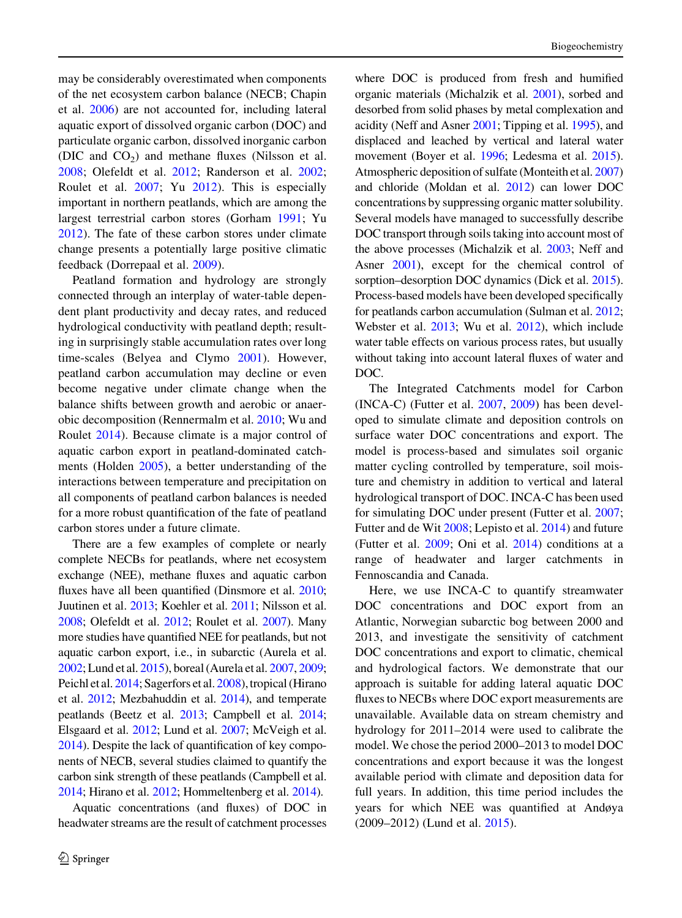may be considerably overestimated when components of the net ecosystem carbon balance (NECB; Chapin et al. [2006\)](#page-14-0) are not accounted for, including lateral aquatic export of dissolved organic carbon (DOC) and particulate organic carbon, dissolved inorganic carbon (DIC and  $CO<sub>2</sub>$ ) and methane fluxes (Nilsson et al. [2008;](#page-16-0) Olefeldt et al. [2012](#page-16-0); Randerson et al. [2002](#page-16-0); Roulet et al. [2007;](#page-16-0) Yu [2012](#page-16-0)). This is especially important in northern peatlands, which are among the largest terrestrial carbon stores (Gorham [1991](#page-15-0); Yu [2012\)](#page-16-0). The fate of these carbon stores under climate change presents a potentially large positive climatic feedback (Dorrepaal et al. [2009\)](#page-15-0).

Peatland formation and hydrology are strongly connected through an interplay of water-table dependent plant productivity and decay rates, and reduced hydrological conductivity with peatland depth; resulting in surprisingly stable accumulation rates over long time-scales (Belyea and Clymo [2001\)](#page-14-0). However, peatland carbon accumulation may decline or even become negative under climate change when the balance shifts between growth and aerobic or anaerobic decomposition (Rennermalm et al. [2010](#page-16-0); Wu and Roulet [2014](#page-16-0)). Because climate is a major control of aquatic carbon export in peatland-dominated catchments (Holden [2005\)](#page-15-0), a better understanding of the interactions between temperature and precipitation on all components of peatland carbon balances is needed for a more robust quantification of the fate of peatland carbon stores under a future climate.

There are a few examples of complete or nearly complete NECBs for peatlands, where net ecosystem exchange (NEE), methane fluxes and aquatic carbon fluxes have all been quantified (Dinsmore et al. [2010](#page-15-0); Juutinen et al. [2013;](#page-15-0) Koehler et al. [2011](#page-15-0); Nilsson et al. [2008](#page-16-0); Olefeldt et al. [2012](#page-16-0); Roulet et al. [2007](#page-16-0)). Many more studies have quantified NEE for peatlands, but not aquatic carbon export, i.e., in subarctic (Aurela et al. [2002](#page-14-0); Lund et al. [2015](#page-15-0)), boreal (Aurela et al. [2007,](#page-14-0) [2009](#page-14-0); Peichl et al. [2014;](#page-16-0) Sagerfors et al. [2008](#page-16-0)), tropical (Hirano et al. [2012;](#page-15-0) Mezbahuddin et al. [2014\)](#page-15-0), and temperate peatlands (Beetz et al. [2013;](#page-14-0) Campbell et al. [2014](#page-14-0); Elsgaard et al. [2012;](#page-15-0) Lund et al. [2007](#page-15-0); McVeigh et al. [2014](#page-15-0)). Despite the lack of quantification of key components of NECB, several studies claimed to quantify the carbon sink strength of these peatlands (Campbell et al. [2014](#page-14-0); Hirano et al. [2012;](#page-15-0) Hommeltenberg et al. [2014](#page-15-0)).

Aquatic concentrations (and fluxes) of DOC in headwater streams are the result of catchment processes where DOC is produced from fresh and humified organic materials (Michalzik et al. [2001](#page-15-0)), sorbed and desorbed from solid phases by metal complexation and acidity (Neff and Asner [2001](#page-16-0); Tipping et al. [1995](#page-16-0)), and displaced and leached by vertical and lateral water movement (Boyer et al. [1996;](#page-14-0) Ledesma et al. [2015\)](#page-15-0). Atmospheric deposition of sulfate (Monteith et al. [2007\)](#page-15-0) and chloride (Moldan et al. [2012\)](#page-15-0) can lower DOC concentrations by suppressing organic matter solubility. Several models have managed to successfully describe DOC transport through soils taking into account most of the above processes (Michalzik et al. [2003](#page-15-0); Neff and Asner [2001](#page-16-0)), except for the chemical control of sorption–desorption DOC dynamics (Dick et al. [2015\)](#page-14-0). Process-based models have been developed specifically for peatlands carbon accumulation (Sulman et al. [2012;](#page-16-0) Webster et al. [2013](#page-16-0); Wu et al. [2012](#page-16-0)), which include water table effects on various process rates, but usually without taking into account lateral fluxes of water and DOC.

The Integrated Catchments model for Carbon (INCA-C) (Futter et al. [2007,](#page-15-0) [2009\)](#page-15-0) has been developed to simulate climate and deposition controls on surface water DOC concentrations and export. The model is process-based and simulates soil organic matter cycling controlled by temperature, soil moisture and chemistry in addition to vertical and lateral hydrological transport of DOC. INCA-C has been used for simulating DOC under present (Futter et al. [2007;](#page-15-0) Futter and de Wit [2008](#page-15-0); Lepisto et al. [2014](#page-15-0)) and future (Futter et al. [2009](#page-15-0); Oni et al. [2014\)](#page-16-0) conditions at a range of headwater and larger catchments in Fennoscandia and Canada.

Here, we use INCA-C to quantify streamwater DOC concentrations and DOC export from an Atlantic, Norwegian subarctic bog between 2000 and 2013, and investigate the sensitivity of catchment DOC concentrations and export to climatic, chemical and hydrological factors. We demonstrate that our approach is suitable for adding lateral aquatic DOC fluxes to NECBs where DOC export measurements are unavailable. Available data on stream chemistry and hydrology for 2011–2014 were used to calibrate the model. We chose the period 2000–2013 to model DOC concentrations and export because it was the longest available period with climate and deposition data for full years. In addition, this time period includes the years for which NEE was quantified at Andøya (2009–2012) (Lund et al. [2015](#page-15-0)).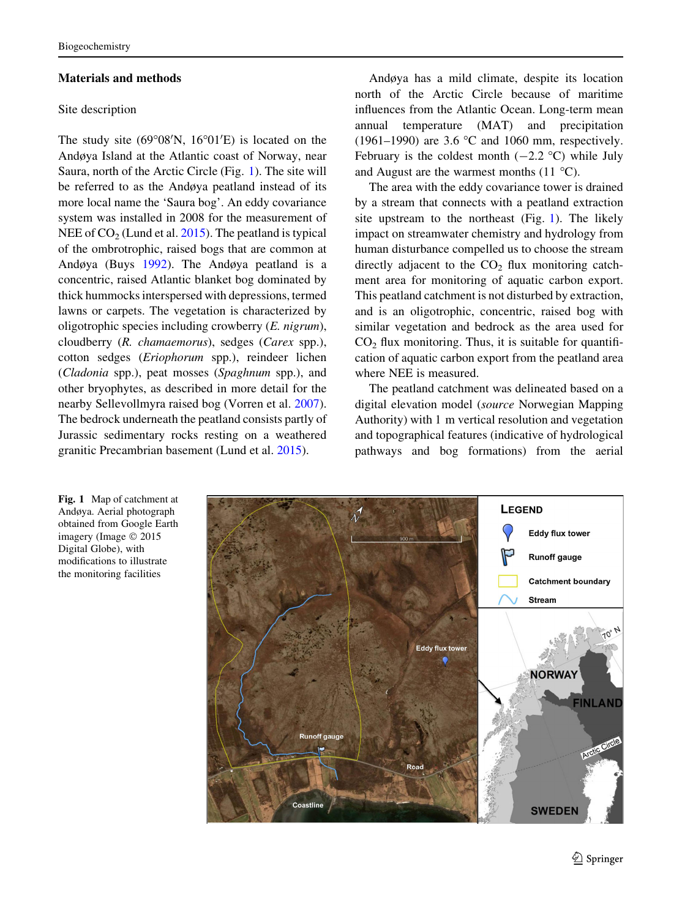## <span id="page-2-0"></span>Materials and methods

#### Site description

The study site  $(69^{\circ}08'N, 16^{\circ}01'E)$  is located on the Andøya Island at the Atlantic coast of Norway, near Saura, north of the Arctic Circle (Fig. 1). The site will be referred to as the Andøya peatland instead of its more local name the 'Saura bog'. An eddy covariance system was installed in 2008 for the measurement of NEE of  $CO<sub>2</sub>$  (Lund et al. [2015](#page-15-0)). The peatland is typical of the ombrotrophic, raised bogs that are common at Andøya (Buys [1992](#page-14-0)). The Andøya peatland is a concentric, raised Atlantic blanket bog dominated by thick hummocks interspersed with depressions, termed lawns or carpets. The vegetation is characterized by oligotrophic species including crowberry  $(E. nigram)$ , cloudberry (R. chamaemorus), sedges (Carex spp.), cotton sedges (Eriophorum spp.), reindeer lichen (Cladonia spp.), peat mosses (Spaghnum spp.), and other bryophytes, as described in more detail for the nearby Sellevollmyra raised bog (Vorren et al. [2007](#page-16-0)). The bedrock underneath the peatland consists partly of Jurassic sedimentary rocks resting on a weathered granitic Precambrian basement (Lund et al. [2015](#page-15-0)).

Andøya has a mild climate, despite its location north of the Arctic Circle because of maritime influences from the Atlantic Ocean. Long-term mean annual temperature (MAT) and precipitation (1961–1990) are 3.6  $\degree$ C and 1060 mm, respectively. February is the coldest month  $(-2.2 \degree C)$  while July and August are the warmest months  $(11 \text{ °C})$ .

The area with the eddy covariance tower is drained by a stream that connects with a peatland extraction site upstream to the northeast (Fig. 1). The likely impact on streamwater chemistry and hydrology from human disturbance compelled us to choose the stream directly adjacent to the  $CO<sub>2</sub>$  flux monitoring catchment area for monitoring of aquatic carbon export. This peatland catchment is not disturbed by extraction, and is an oligotrophic, concentric, raised bog with similar vegetation and bedrock as the area used for  $CO<sub>2</sub>$  flux monitoring. Thus, it is suitable for quantification of aquatic carbon export from the peatland area where NEE is measured.

The peatland catchment was delineated based on a digital elevation model (source Norwegian Mapping Authority) with 1 m vertical resolution and vegetation and topographical features (indicative of hydrological pathways and bog formations) from the aerial



Fig. 1 Map of catchment at Andøya. Aerial photograph obtained from Google Earth imagery (Image © 2015 Digital Globe), with modifications to illustrate the monitoring facilities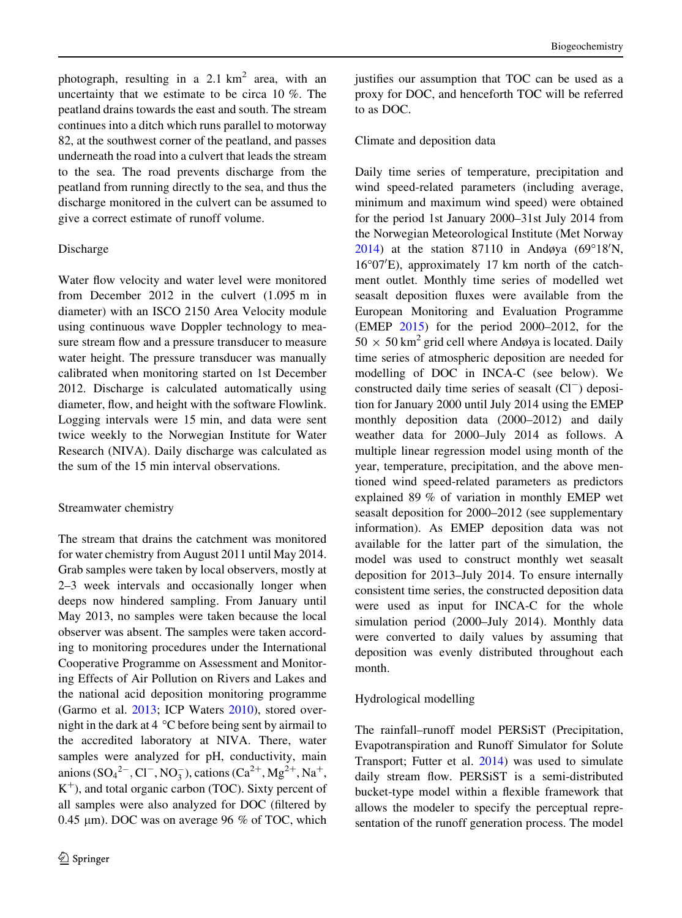photograph, resulting in a 2.1  $km^2$  area, with an uncertainty that we estimate to be circa 10 %. The peatland drains towards the east and south. The stream continues into a ditch which runs parallel to motorway 82, at the southwest corner of the peatland, and passes underneath the road into a culvert that leads the stream to the sea. The road prevents discharge from the peatland from running directly to the sea, and thus the discharge monitored in the culvert can be assumed to give a correct estimate of runoff volume.

## Discharge

Water flow velocity and water level were monitored from December 2012 in the culvert (1.095 m in diameter) with an ISCO 2150 Area Velocity module using continuous wave Doppler technology to measure stream flow and a pressure transducer to measure water height. The pressure transducer was manually calibrated when monitoring started on 1st December 2012. Discharge is calculated automatically using diameter, flow, and height with the software Flowlink. Logging intervals were 15 min, and data were sent twice weekly to the Norwegian Institute for Water Research (NIVA). Daily discharge was calculated as the sum of the 15 min interval observations.

### Streamwater chemistry

The stream that drains the catchment was monitored for water chemistry from August 2011 until May 2014. Grab samples were taken by local observers, mostly at 2–3 week intervals and occasionally longer when deeps now hindered sampling. From January until May 2013, no samples were taken because the local observer was absent. The samples were taken according to monitoring procedures under the International Cooperative Programme on Assessment and Monitoring Effects of Air Pollution on Rivers and Lakes and the national acid deposition monitoring programme (Garmo et al. [2013;](#page-15-0) ICP Waters [2010\)](#page-15-0), stored overnight in the dark at  $4^{\circ}$ C before being sent by airmail to the accredited laboratory at NIVA. There, water samples were analyzed for pH, conductivity, main anions  $(SO_4^2$ <sup>-</sup>, Cl<sup>-</sup>, NO<sub>3</sub>), cations  $(Ca^2)$ <sup>+</sup>, Mg<sup>2+</sup>, Na<sup>+</sup>,  $K^+$ ), and total organic carbon (TOC). Sixty percent of all samples were also analyzed for DOC (filtered by 0.45  $\mu$ m). DOC was on average 96 % of TOC, which justifies our assumption that TOC can be used as a proxy for DOC, and henceforth TOC will be referred to as DOC.

### Climate and deposition data

Daily time series of temperature, precipitation and wind speed-related parameters (including average, minimum and maximum wind speed) were obtained for the period 1st January 2000–31st July 2014 from the Norwegian Meteorological Institute (Met Norway [2014\)](#page-15-0) at the station 87110 in Andøya (69°18'N, 16°07'E), approximately 17 km north of the catchment outlet. Monthly time series of modelled wet seasalt deposition fluxes were available from the European Monitoring and Evaluation Programme (EMEP [2015\)](#page-15-0) for the period 2000–2012, for the  $50 \times 50$  km<sup>2</sup> grid cell where Andøya is located. Daily time series of atmospheric deposition are needed for modelling of DOC in INCA-C (see below). We constructed daily time series of seasalt  $(Cl^-)$  deposition for January 2000 until July 2014 using the EMEP monthly deposition data (2000–2012) and daily weather data for 2000–July 2014 as follows. A multiple linear regression model using month of the year, temperature, precipitation, and the above mentioned wind speed-related parameters as predictors explained 89 % of variation in monthly EMEP wet seasalt deposition for 2000–2012 (see supplementary information). As EMEP deposition data was not available for the latter part of the simulation, the model was used to construct monthly wet seasalt deposition for 2013–July 2014. To ensure internally consistent time series, the constructed deposition data were used as input for INCA-C for the whole simulation period (2000–July 2014). Monthly data were converted to daily values by assuming that deposition was evenly distributed throughout each month.

## Hydrological modelling

The rainfall–runoff model PERSiST (Precipitation, Evapotranspiration and Runoff Simulator for Solute Transport; Futter et al. [2014](#page-15-0)) was used to simulate daily stream flow. PERSiST is a semi-distributed bucket-type model within a flexible framework that allows the modeler to specify the perceptual representation of the runoff generation process. The model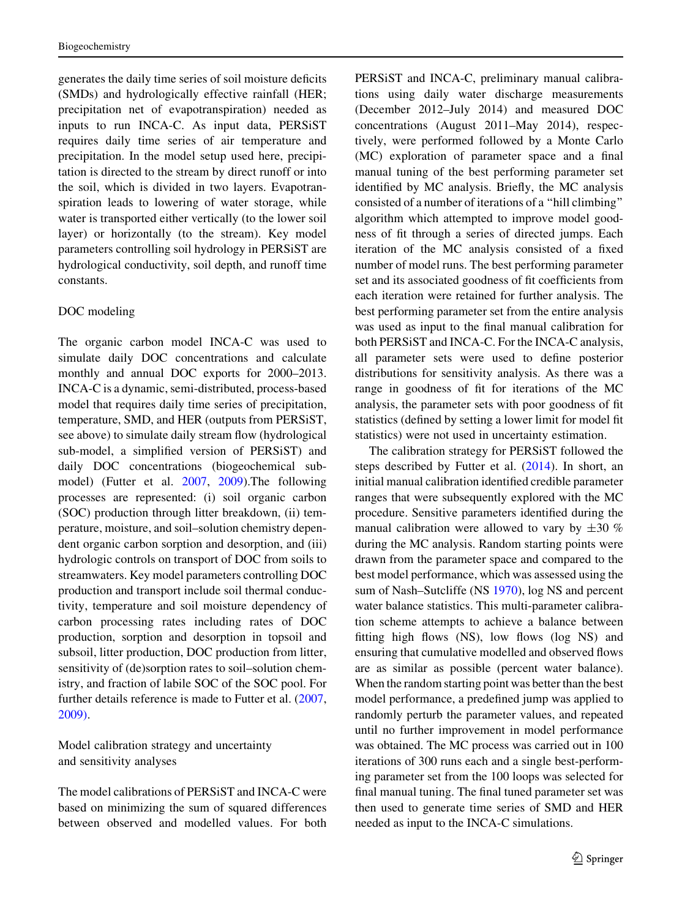generates the daily time series of soil moisture deficits (SMDs) and hydrologically effective rainfall (HER; precipitation net of evapotranspiration) needed as inputs to run INCA-C. As input data, PERSiST requires daily time series of air temperature and precipitation. In the model setup used here, precipitation is directed to the stream by direct runoff or into the soil, which is divided in two layers. Evapotranspiration leads to lowering of water storage, while water is transported either vertically (to the lower soil layer) or horizontally (to the stream). Key model parameters controlling soil hydrology in PERSiST are hydrological conductivity, soil depth, and runoff time constants.

## DOC modeling

The organic carbon model INCA-C was used to simulate daily DOC concentrations and calculate monthly and annual DOC exports for 2000–2013. INCA-C is a dynamic, semi-distributed, process-based model that requires daily time series of precipitation, temperature, SMD, and HER (outputs from PERSiST, see above) to simulate daily stream flow (hydrological sub-model, a simplified version of PERSiST) and daily DOC concentrations (biogeochemical submodel) (Futter et al. [2007](#page-15-0), [2009](#page-15-0)).The following processes are represented: (i) soil organic carbon (SOC) production through litter breakdown, (ii) temperature, moisture, and soil–solution chemistry dependent organic carbon sorption and desorption, and (iii) hydrologic controls on transport of DOC from soils to streamwaters. Key model parameters controlling DOC production and transport include soil thermal conductivity, temperature and soil moisture dependency of carbon processing rates including rates of DOC production, sorption and desorption in topsoil and subsoil, litter production, DOC production from litter, sensitivity of (de)sorption rates to soil–solution chemistry, and fraction of labile SOC of the SOC pool. For further details reference is made to Futter et al. ([2007,](#page-15-0) [2009\)](#page-15-0).

Model calibration strategy and uncertainty and sensitivity analyses

The model calibrations of PERSiST and INCA-C were based on minimizing the sum of squared differences between observed and modelled values. For both PERSiST and INCA-C, preliminary manual calibrations using daily water discharge measurements (December 2012–July 2014) and measured DOC concentrations (August 2011–May 2014), respectively, were performed followed by a Monte Carlo (MC) exploration of parameter space and a final manual tuning of the best performing parameter set identified by MC analysis. Briefly, the MC analysis consisted of a number of iterations of a ''hill climbing'' algorithm which attempted to improve model goodness of fit through a series of directed jumps. Each iteration of the MC analysis consisted of a fixed number of model runs. The best performing parameter set and its associated goodness of fit coefficients from each iteration were retained for further analysis. The best performing parameter set from the entire analysis was used as input to the final manual calibration for both PERSiST and INCA-C. For the INCA-C analysis, all parameter sets were used to define posterior distributions for sensitivity analysis. As there was a range in goodness of fit for iterations of the MC analysis, the parameter sets with poor goodness of fit statistics (defined by setting a lower limit for model fit statistics) were not used in uncertainty estimation.

The calibration strategy for PERSiST followed the steps described by Futter et al. ([2014\)](#page-15-0). In short, an initial manual calibration identified credible parameter ranges that were subsequently explored with the MC procedure. Sensitive parameters identified during the manual calibration were allowed to vary by  $\pm 30\%$ during the MC analysis. Random starting points were drawn from the parameter space and compared to the best model performance, which was assessed using the sum of Nash–Sutcliffe (NS [1970](#page-16-0)), log NS and percent water balance statistics. This multi-parameter calibration scheme attempts to achieve a balance between fitting high flows (NS), low flows (log NS) and ensuring that cumulative modelled and observed flows are as similar as possible (percent water balance). When the random starting point was better than the best model performance, a predefined jump was applied to randomly perturb the parameter values, and repeated until no further improvement in model performance was obtained. The MC process was carried out in 100 iterations of 300 runs each and a single best-performing parameter set from the 100 loops was selected for final manual tuning. The final tuned parameter set was then used to generate time series of SMD and HER needed as input to the INCA-C simulations.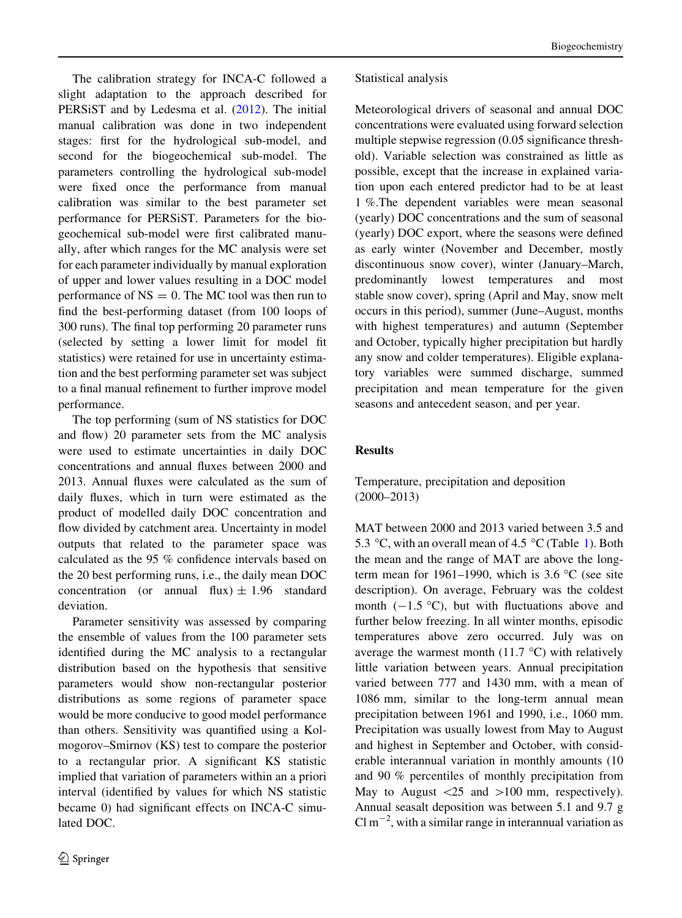The calibration strategy for INCA-C followed a slight adaptation to the approach described for PERSiST and by Ledesma et al. ([2012](#page-15-0)). The initial manual calibration was done in two independent stages: first for the hydrological sub-model, and second for the biogeochemical sub-model. The parameters controlling the hydrological sub-model were fixed once the performance from manual calibration was similar to the best parameter set performance for PERSiST. Parameters for the biogeochemical sub-model were first calibrated manually, after which ranges for the MC analysis were set for each parameter individually by manual exploration of upper and lower values resulting in a DOC model performance of  $NS = 0$ . The MC tool was then run to find the best-performing dataset (from 100 loops of 300 runs). The final top performing 20 parameter runs (selected by setting a lower limit for model fit statistics) were retained for use in uncertainty estimation and the best performing parameter set was subject to a final manual refinement to further improve model performance.

The top performing (sum of NS statistics for DOC and flow) 20 parameter sets from the MC analysis were used to estimate uncertainties in daily DOC concentrations and annual fluxes between 2000 and 2013. Annual fluxes were calculated as the sum of daily fluxes, which in turn were estimated as the product of modelled daily DOC concentration and flow divided by catchment area. Uncertainty in model outputs that related to the parameter space was calculated as the 95 % confidence intervals based on the 20 best performing runs, i.e., the daily mean DOC concentration (or annual flux)  $\pm$  1.96 standard deviation.

Parameter sensitivity was assessed by comparing the ensemble of values from the 100 parameter sets identified during the MC analysis to a rectangular distribution based on the hypothesis that sensitive parameters would show non-rectangular posterior distributions as some regions of parameter space would be more conducive to good model performance than others. Sensitivity was quantified using a Kolmogorov–Smirnov (KS) test to compare the posterior to a rectangular prior. A significant KS statistic implied that variation of parameters within an a priori interval (identified by values for which NS statistic became 0) had significant effects on INCA-C simulated DOC.

# Statistical analysis

Meteorological drivers of seasonal and annual DOC concentrations were evaluated using forward selection multiple stepwise regression (0.05 significance threshold). Variable selection was constrained as little as possible, except that the increase in explained variation upon each entered predictor had to be at least 1 %.The dependent variables were mean seasonal (yearly) DOC concentrations and the sum of seasonal (yearly) DOC export, where the seasons were defined as early winter (November and December, mostly discontinuous snow cover), winter (January–March, predominantly lowest temperatures and most stable snow cover), spring (April and May, snow melt occurs in this period), summer (June–August, months with highest temperatures) and autumn (September and October, typically higher precipitation but hardly any snow and colder temperatures). Eligible explanatory variables were summed discharge, summed precipitation and mean temperature for the given seasons and antecedent season, and per year.

# Results

Temperature, precipitation and deposition (2000–2013)

MAT between 2000 and 2013 varied between 3.5 and 5.3 °C, with an overall mean of 4.5 °C (Table [1](#page-6-0)). Both the mean and the range of MAT are above the longterm mean for 1961–1990, which is 3.6  $\degree$ C (see site description). On average, February was the coldest month  $(-1.5 \degree C)$ , but with fluctuations above and further below freezing. In all winter months, episodic temperatures above zero occurred. July was on average the warmest month (11.7  $\degree$ C) with relatively little variation between years. Annual precipitation varied between 777 and 1430 mm, with a mean of 1086 mm, similar to the long-term annual mean precipitation between 1961 and 1990, i.e., 1060 mm. Precipitation was usually lowest from May to August and highest in September and October, with considerable interannual variation in monthly amounts (10 and 90 % percentiles of monthly precipitation from May to August  $\langle 25 \rangle$  and  $\langle 100 \rangle$  mm, respectively). Annual seasalt deposition was between 5.1 and 9.7 g  $Cl m^{-2}$ , with a similar range in interannual variation as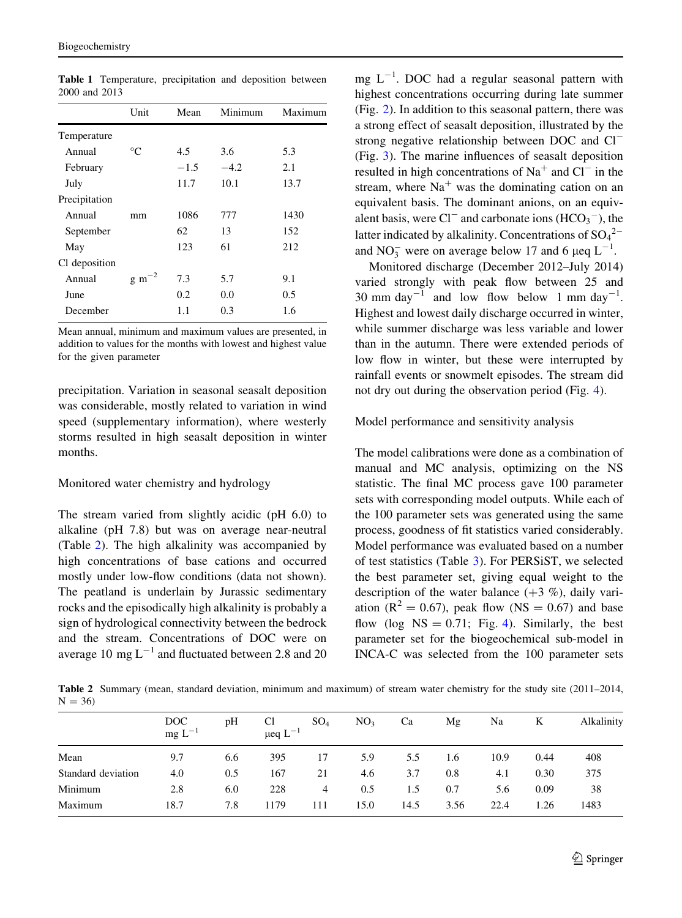|               | Unit                 | Mean   | Minimum | Maximum |
|---------------|----------------------|--------|---------|---------|
| Temperature   |                      |        |         |         |
| Annual        | $^{\circ}C$          | 4.5    | 3.6     | 5.3     |
| February      |                      | $-1.5$ | $-4.2$  | 2.1     |
| July          |                      | 11.7   | 10.1    | 13.7    |
| Precipitation |                      |        |         |         |
| Annual        | mm                   | 1086   | 777     | 1430    |
| September     |                      | 62     | 13      | 152     |
| May           |                      | 123    | 61      | 212     |
| Cl deposition |                      |        |         |         |
| Annual        | $g \, \text{m}^{-2}$ | 7.3    | 5.7     | 9.1     |
| June          |                      | 0.2    | 0.0     | 0.5     |
| December      |                      | 1.1    | 0.3     | 1.6     |

<span id="page-6-0"></span>Table 1 Temperature, precipitation and deposition between 2000 and 2013

Mean annual, minimum and maximum values are presented, in addition to values for the months with lowest and highest value for the given parameter

precipitation. Variation in seasonal seasalt deposition was considerable, mostly related to variation in wind speed (supplementary information), where westerly storms resulted in high seasalt deposition in winter months.

# Monitored water chemistry and hydrology

The stream varied from slightly acidic (pH 6.0) to alkaline (pH 7.8) but was on average near-neutral (Table 2). The high alkalinity was accompanied by high concentrations of base cations and occurred mostly under low-flow conditions (data not shown). The peatland is underlain by Jurassic sedimentary rocks and the episodically high alkalinity is probably a sign of hydrological connectivity between the bedrock and the stream. Concentrations of DOC were on average 10 mg  $L^{-1}$  and fluctuated between 2.8 and 20

mg  $L^{-1}$ . DOC had a regular seasonal pattern with highest concentrations occurring during late summer (Fig. [2](#page-7-0)). In addition to this seasonal pattern, there was a strong effect of seasalt deposition, illustrated by the strong negative relationship between DOC and Cl<sup>-</sup> (Fig. [3](#page-7-0)). The marine influences of seasalt deposition resulted in high concentrations of  $Na<sup>+</sup>$  and  $Cl<sup>-</sup>$  in the stream, where  $Na<sup>+</sup>$  was the dominating cation on an equivalent basis. The dominant anions, on an equivalent basis, were  $Cl^-$  and carbonate ions  $(HCO_3^-)$ , the latter indicated by alkalinity. Concentrations of  $SO_4^2$ <sup>-</sup> and  $NO_3^-$  were on average below 17 and 6  $\mu$ eq L<sup>-1</sup>.

Monitored discharge (December 2012–July 2014) varied strongly with peak flow between 25 and 30 mm day<sup>-1</sup> and low flow below 1 mm day<sup>-1</sup>. Highest and lowest daily discharge occurred in winter, while summer discharge was less variable and lower than in the autumn. There were extended periods of low flow in winter, but these were interrupted by rainfall events or snowmelt episodes. The stream did not dry out during the observation period (Fig. [4](#page-8-0)).

### Model performance and sensitivity analysis

The model calibrations were done as a combination of manual and MC analysis, optimizing on the NS statistic. The final MC process gave 100 parameter sets with corresponding model outputs. While each of the 100 parameter sets was generated using the same process, goodness of fit statistics varied considerably. Model performance was evaluated based on a number of test statistics (Table [3\)](#page-8-0). For PERSiST, we selected the best parameter set, giving equal weight to the description of the water balance  $(+3, \%)$ , daily variation ( $R^2 = 0.67$ ), peak flow (NS = 0.67) and base flow (log  $NS = 0.71$ ; Fig. [4](#page-8-0)). Similarly, the best parameter set for the biogeochemical sub-model in INCA-C was selected from the 100 parameter sets

Table 2 Summary (mean, standard deviation, minimum and maximum) of stream water chemistry for the study site (2011–2014,  $N = 36$ 

|                    | $\overline{DOC}$<br>mg L <sup>-1</sup> | pН  | Cl<br>$\mu$ eq $L^{-1}$ | SO <sub>4</sub> | NO <sub>3</sub> | Ca   | Mg   | Na   | K    | Alkalinity |
|--------------------|----------------------------------------|-----|-------------------------|-----------------|-----------------|------|------|------|------|------------|
| Mean               | 9.7                                    | 6.6 | 395                     | 17              | 5.9             | 5.5  | 1.6  | 10.9 | 0.44 | 408        |
| Standard deviation | 4.0                                    | 0.5 | 167                     | 21              | 4.6             | 3.7  | 0.8  | 4.1  | 0.30 | 375        |
| Minimum            | 2.8                                    | 6.0 | 228                     | 4               | 0.5             | 1.5  | 0.7  | 5.6  | 0.09 | 38         |
| Maximum            | 18.7                                   | 7.8 | 1179                    | 111             | 15.0            | 14.5 | 3.56 | 22.4 | 1.26 | 1483       |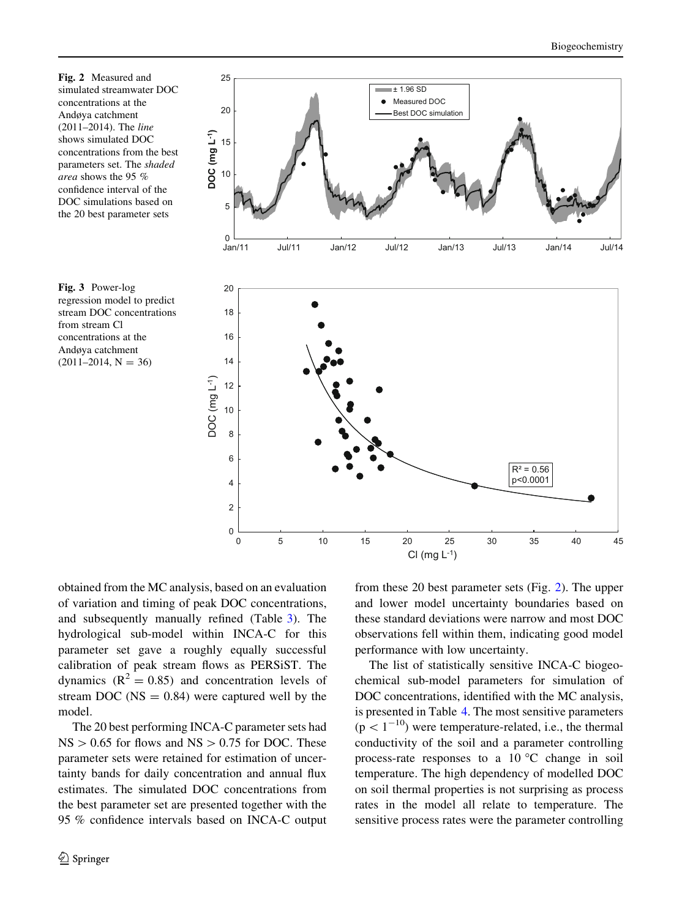<span id="page-7-0"></span>Fig. 2 Measured and simulated streamwater DOC concentrations at the Andøya catchment (2011–2014). The line shows simulated DOC concentrations from the best parameters set. The shaded area shows the 95 % confidence interval of the DOC simulations based on the 20 best parameter sets





obtained from the MC analysis, based on an evaluation of variation and timing of peak DOC concentrations, and subsequently manually refined (Table [3](#page-8-0)). The hydrological sub-model within INCA-C for this parameter set gave a roughly equally successful calibration of peak stream flows as PERSiST. The dynamics  $(R^2 = 0.85)$  and concentration levels of stream DOC ( $NS = 0.84$ ) were captured well by the model.

The 20 best performing INCA-C parameter sets had  $NS > 0.65$  for flows and  $NS > 0.75$  for DOC. These parameter sets were retained for estimation of uncertainty bands for daily concentration and annual flux estimates. The simulated DOC concentrations from the best parameter set are presented together with the 95 % confidence intervals based on INCA-C output from these 20 best parameter sets (Fig. 2). The upper and lower model uncertainty boundaries based on these standard deviations were narrow and most DOC observations fell within them, indicating good model performance with low uncertainty.

The list of statistically sensitive INCA-C biogeochemical sub-model parameters for simulation of DOC concentrations, identified with the MC analysis, is presented in Table [4](#page-9-0). The most sensitive parameters  $(p<1^{-10})$  were temperature-related, i.e., the thermal conductivity of the soil and a parameter controlling process-rate responses to a  $10^{\circ}$ C change in soil temperature. The high dependency of modelled DOC on soil thermal properties is not surprising as process rates in the model all relate to temperature. The sensitive process rates were the parameter controlling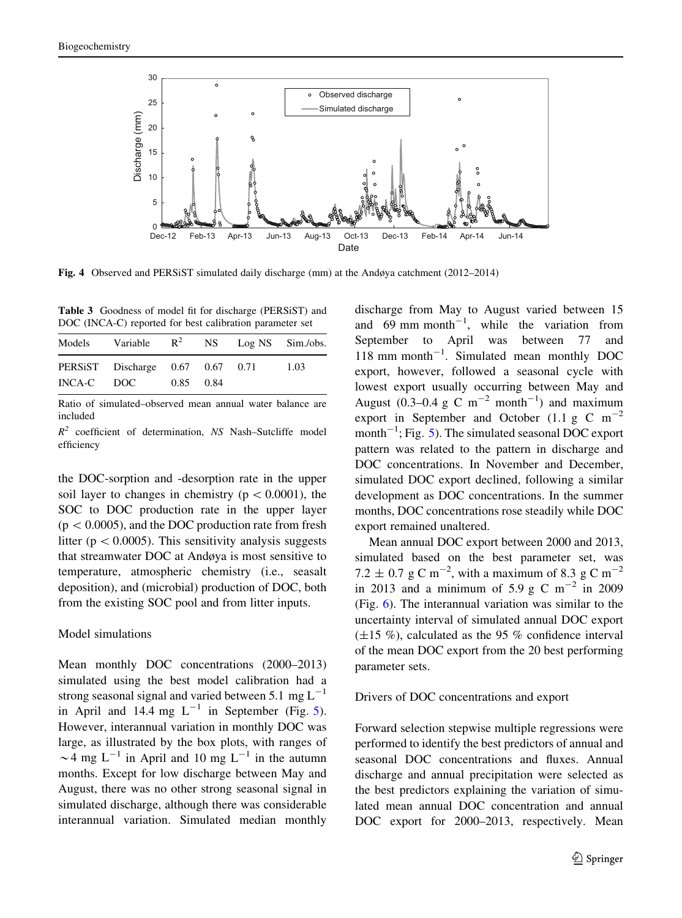<span id="page-8-0"></span>

Fig. 4 Observed and PERSiST simulated daily discharge (mm) at the Andøya catchment (2012–2014)

Table 3 Goodness of model fit for discharge (PERSiST) and DOC (INCA-C) reported for best calibration parameter set

|     |           | Variable $R^2$ NS Log NS Sim./obs. |
|-----|-----------|------------------------------------|
|     |           | 1.03                               |
| DOC | 0.85 0.84 | PERSIST Discharge 0.67 0.67 0.71   |

Ratio of simulated–observed mean annual water balance are included

 $R^2$  coefficient of determination, NS Nash–Sutcliffe model efficiency

the DOC-sorption and -desorption rate in the upper soil layer to changes in chemistry ( $p < 0.0001$ ), the SOC to DOC production rate in the upper layer  $(p < 0.0005)$ , and the DOC production rate from fresh litter ( $p \lt 0.0005$ ). This sensitivity analysis suggests that streamwater DOC at Andøya is most sensitive to temperature, atmospheric chemistry (i.e., seasalt deposition), and (microbial) production of DOC, both from the existing SOC pool and from litter inputs.

### Model simulations

Mean monthly DOC concentrations (2000–2013) simulated using the best model calibration had a strong seasonal signal and varied between 5.1 mg  $L^{-1}$ in April and 14.4 mg  $L^{-1}$  in September (Fig. [5](#page-9-0)). However, interannual variation in monthly DOC was large, as illustrated by the box plots, with ranges of  $\sim$  4 mg L<sup>-1</sup> in April and 10 mg L<sup>-1</sup> in the autumn months. Except for low discharge between May and August, there was no other strong seasonal signal in simulated discharge, although there was considerable interannual variation. Simulated median monthly

discharge from May to August varied between 15 and  $69 \text{ mm month}^{-1}$ , while the variation from September to April was between 77 and 118 mm month<sup>-1</sup>. Simulated mean monthly DOC export, however, followed a seasonal cycle with lowest export usually occurring between May and August (0.3–0.4 g C m<sup>-2</sup> month<sup>-1</sup>) and maximum export in September and October (1.1 g C  $m^{-2}$ ) month<sup> $-1$ </sup>; Fig. [5](#page-9-0)). The simulated seasonal DOC export pattern was related to the pattern in discharge and DOC concentrations. In November and December, simulated DOC export declined, following a similar development as DOC concentrations. In the summer months, DOC concentrations rose steadily while DOC export remained unaltered.

Mean annual DOC export between 2000 and 2013, simulated based on the best parameter set, was 7.2  $\pm$  0.7 g C m<sup>-2</sup>, with a maximum of 8.3 g C m<sup>-2</sup> in 2013 and a minimum of 5.9 g C m<sup>-2</sup> in 2009 (Fig. [6](#page-10-0)). The interannual variation was similar to the uncertainty interval of simulated annual DOC export  $(\pm 15 \%)$ , calculated as the 95 % confidence interval of the mean DOC export from the 20 best performing parameter sets.

#### Drivers of DOC concentrations and export

Forward selection stepwise multiple regressions were performed to identify the best predictors of annual and seasonal DOC concentrations and fluxes. Annual discharge and annual precipitation were selected as the best predictors explaining the variation of simulated mean annual DOC concentration and annual DOC export for 2000–2013, respectively. Mean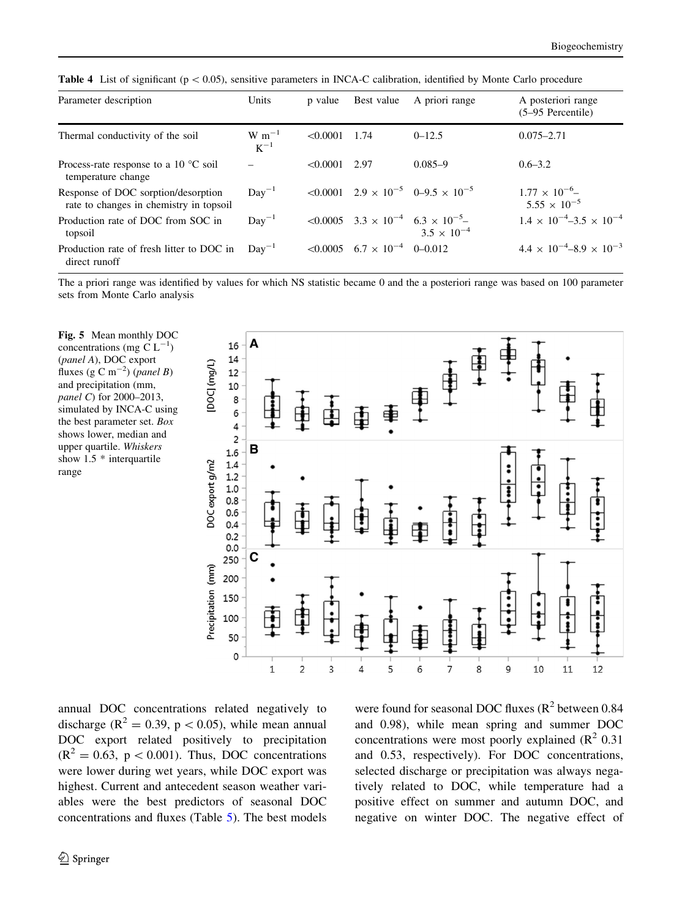<span id="page-9-0"></span>**Table 4** List of significant ( $p < 0.05$ ), sensitive parameters in INCA-C calibration, identified by Monte Carlo procedure

| Parameter description                                                          | Units                  | p value  | Best value                                          | A priori range                                                                                      | A posteriori range                             |
|--------------------------------------------------------------------------------|------------------------|----------|-----------------------------------------------------|-----------------------------------------------------------------------------------------------------|------------------------------------------------|
|                                                                                |                        |          |                                                     |                                                                                                     | $(5-95)$ Percentile)                           |
| Thermal conductivity of the soil                                               | $W~m^{-1}$<br>$K^{-1}$ | < 0.0001 | 1.74                                                | $0 - 12.5$                                                                                          | $0.075 - 2.71$                                 |
| Process-rate response to a 10 $^{\circ}$ C soil<br>temperature change          |                        | < 0.0001 | 2.97                                                | $0.085 - 9$                                                                                         | $0.6 - 3.2$                                    |
| Response of DOC sorption/desorption<br>rate to changes in chemistry in topsoil | $Day^{-1}$             |          |                                                     | $\leq 0.0001$ $2.9 \times 10^{-5}$ $0-9.5 \times 10^{-5}$                                           | $1.77 \times 10^{-6}$<br>$5.55 \times 10^{-5}$ |
| Production rate of DOC from SOC in<br>topsoil                                  | $Day^{-1}$             |          |                                                     | $\leq 0.0005$ 3.3 $\times$ 10 <sup>-4</sup> 6.3 $\times$ 10 <sup>-5</sup> -<br>$3.5 \times 10^{-4}$ | $1.4 \times 10^{-4} - 3.5 \times 10^{-4}$      |
| Production rate of fresh litter to DOC in<br>direct runoff                     | $Day^{-1}$             |          | $\leq 0.0005$ 6.7 $\times$ 10 <sup>-4</sup> 0-0.012 |                                                                                                     | $4.4 \times 10^{-4} - 8.9 \times 10^{-3}$      |

The a priori range was identified by values for which NS statistic became 0 and the a posteriori range was based on 100 parameter sets from Monte Carlo analysis

Fig. 5 Mean monthly DOC concentrations (mg C  $L^{-1}$ ) (panel A), DOC export fluxes (g C m<sup>-2</sup>) (*panel B*) and precipitation (mm, panel C) for 2000–2013, simulated by INCA-C using the best parameter set. Box shows lower, median and upper quartile. Whiskers show 1.5 \* interquartile range



annual DOC concentrations related negatively to discharge ( $\mathbb{R}^2 = 0.39$ ,  $p < 0.05$ ), while mean annual DOC export related positively to precipitation  $(R^2 = 0.63, p < 0.001)$ . Thus, DOC concentrations were lower during wet years, while DOC export was highest. Current and antecedent season weather variables were the best predictors of seasonal DOC concentrations and fluxes (Table [5\)](#page-11-0). The best models were found for seasonal DOC fluxes  $(R^2$  between 0.84 and 0.98), while mean spring and summer DOC concentrations were most poorly explained  $(R^2 0.31)$ and 0.53, respectively). For DOC concentrations, selected discharge or precipitation was always negatively related to DOC, while temperature had a positive effect on summer and autumn DOC, and negative on winter DOC. The negative effect of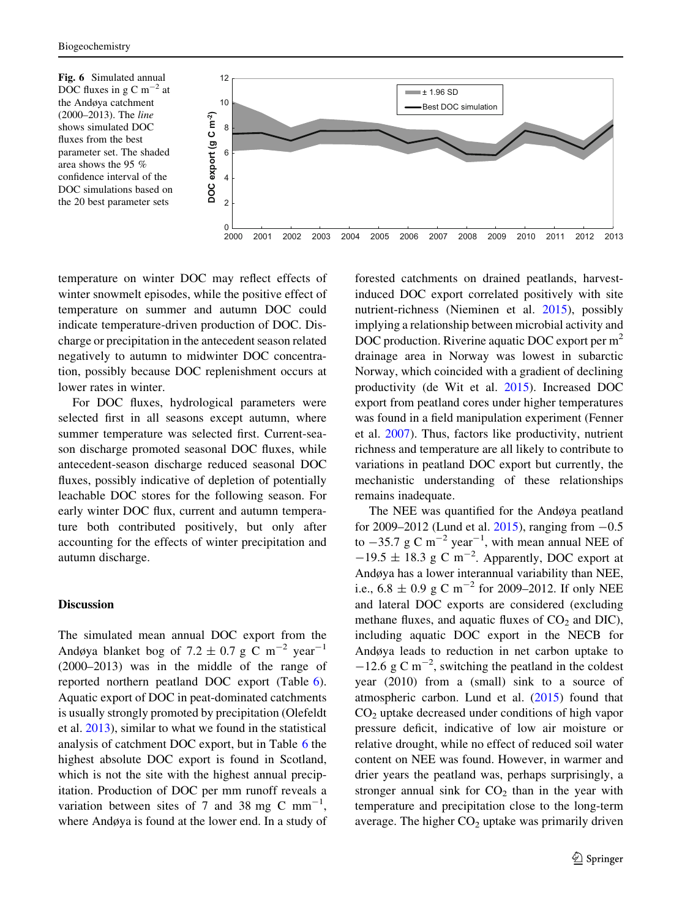<span id="page-10-0"></span>

temperature on winter DOC may reflect effects of winter snowmelt episodes, while the positive effect of temperature on summer and autumn DOC could indicate temperature-driven production of DOC. Discharge or precipitation in the antecedent season related negatively to autumn to midwinter DOC concentration, possibly because DOC replenishment occurs at lower rates in winter.

For DOC fluxes, hydrological parameters were selected first in all seasons except autumn, where summer temperature was selected first. Current-season discharge promoted seasonal DOC fluxes, while antecedent-season discharge reduced seasonal DOC fluxes, possibly indicative of depletion of potentially leachable DOC stores for the following season. For early winter DOC flux, current and autumn temperature both contributed positively, but only after accounting for the effects of winter precipitation and autumn discharge.

### Discussion

The simulated mean annual DOC export from the Andøya blanket bog of 7.2  $\pm$  0.7 g C m<sup>-2</sup> year<sup>-1</sup> (2000–2013) was in the middle of the range of reported northern peatland DOC export (Table [6](#page-12-0)). Aquatic export of DOC in peat-dominated catchments is usually strongly promoted by precipitation (Olefeldt et al. [2013\)](#page-16-0), similar to what we found in the statistical analysis of catchment DOC export, but in Table [6](#page-12-0) the highest absolute DOC export is found in Scotland, which is not the site with the highest annual precipitation. Production of DOC per mm runoff reveals a variation between sites of 7 and 38 mg C mm<sup>-1</sup>, where Andøya is found at the lower end. In a study of forested catchments on drained peatlands, harvestinduced DOC export correlated positively with site nutrient-richness (Nieminen et al. [2015](#page-16-0)), possibly implying a relationship between microbial activity and DOC production. Riverine aquatic DOC export per  $m<sup>2</sup>$ drainage area in Norway was lowest in subarctic Norway, which coincided with a gradient of declining productivity (de Wit et al. [2015\)](#page-14-0). Increased DOC export from peatland cores under higher temperatures was found in a field manipulation experiment (Fenner et al. [2007](#page-15-0)). Thus, factors like productivity, nutrient richness and temperature are all likely to contribute to variations in peatland DOC export but currently, the mechanistic understanding of these relationships remains inadequate.

The NEE was quantified for the Andøya peatland for 2009–2012 (Lund et al.  $2015$ ), ranging from  $-0.5$ to  $-35.7 \text{ g C m}^{-2} \text{ year}^{-1}$ , with mean annual NEE of  $-19.5 \pm 18.3$  g C m<sup>-2</sup>. Apparently, DOC export at Andøya has a lower interannual variability than NEE, i.e.,  $6.8 \pm 0.9$  g C m<sup>-2</sup> for 2009–2012. If only NEE and lateral DOC exports are considered (excluding methane fluxes, and aquatic fluxes of  $CO<sub>2</sub>$  and DIC), including aquatic DOC export in the NECB for Andøya leads to reduction in net carbon uptake to  $-12.6$  g C m<sup>-2</sup>, switching the peatland in the coldest year (2010) from a (small) sink to a source of atmospheric carbon. Lund et al. [\(2015](#page-15-0)) found that  $CO<sub>2</sub>$  uptake decreased under conditions of high vapor pressure deficit, indicative of low air moisture or relative drought, while no effect of reduced soil water content on NEE was found. However, in warmer and drier years the peatland was, perhaps surprisingly, a stronger annual sink for  $CO<sub>2</sub>$  than in the year with temperature and precipitation close to the long-term average. The higher  $CO<sub>2</sub>$  uptake was primarily driven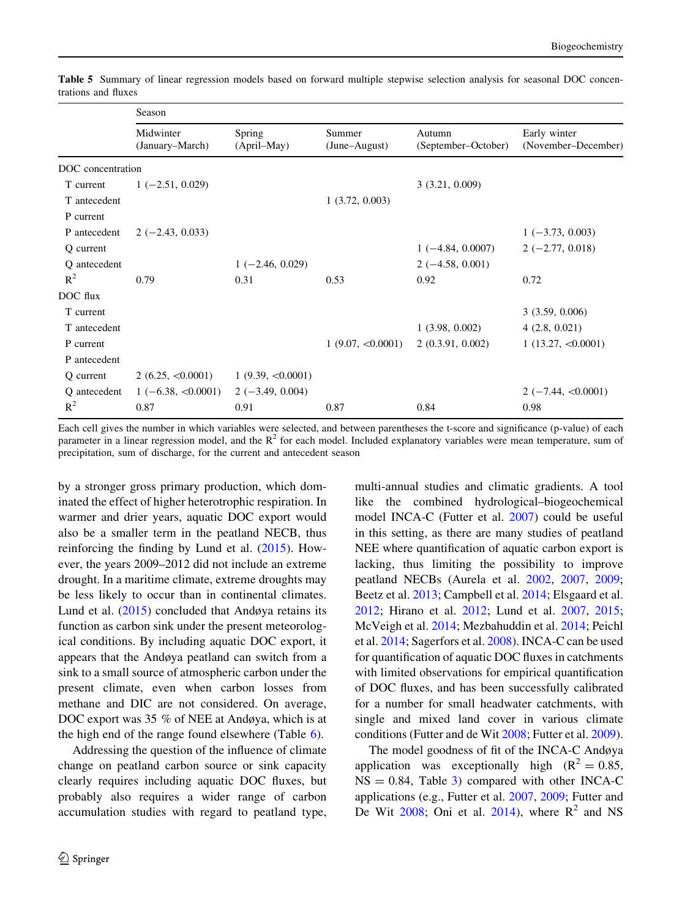|                   | Season                       |                       |                         |                               |                                     |
|-------------------|------------------------------|-----------------------|-------------------------|-------------------------------|-------------------------------------|
|                   | Midwinter<br>(January–March) | Spring<br>(April–May) | Summer<br>(June–August) | Autumn<br>(September–October) | Early winter<br>(November-December) |
| DOC concentration |                              |                       |                         |                               |                                     |
| T current         | $1(-2.51, 0.029)$            |                       |                         | 3(3.21, 0.009)                |                                     |
| T antecedent      |                              |                       | 1(3.72, 0.003)          |                               |                                     |
| P current         |                              |                       |                         |                               |                                     |
| P antecedent      | $2(-2.43, 0.033)$            |                       |                         |                               | $1(-3.73, 0.003)$                   |
| Q current         |                              |                       |                         | $1(-4.84, 0.0007)$            | $2(-2.77, 0.018)$                   |
| Q antecedent      |                              | $1(-2.46, 0.029)$     |                         | $2(-4.58, 0.001)$             |                                     |
| $R^2$             | 0.79                         | 0.31                  | 0.53                    | 0.92                          | 0.72                                |
| DOC flux          |                              |                       |                         |                               |                                     |
| T current         |                              |                       |                         |                               | 3(3.59, 0.006)                      |
| T antecedent      |                              |                       |                         | 1(3.98, 0.002)                | 4(2.8, 0.021)                       |
| P current         |                              |                       | 1(9.07, <0.0001)        | 2(0.3.91, 0.002)              | 1(13.27, < 0.0001)                  |
| P antecedent      |                              |                       |                         |                               |                                     |
| Q current         | 2(6.25, <0.0001)             | 1(9.39, <0.0001)      |                         |                               |                                     |
| Q antecedent      | $1(-6.38, <0.0001)$          | $2(-3.49, 0.004)$     |                         |                               | $2(-7.44, <0.0001)$                 |
| $R^2$             | 0.87                         | 0.91                  | 0.87                    | 0.84                          | 0.98                                |

<span id="page-11-0"></span>Table 5 Summary of linear regression models based on forward multiple stepwise selection analysis for seasonal DOC concentrations and fluxes

Each cell gives the number in which variables were selected, and between parentheses the t-score and significance (p-value) of each parameter in a linear regression model, and the  $R^2$  for each model. Included explanatory variables were mean temperature, sum of precipitation, sum of discharge, for the current and antecedent season

by a stronger gross primary production, which dominated the effect of higher heterotrophic respiration. In warmer and drier years, aquatic DOC export would also be a smaller term in the peatland NECB, thus reinforcing the finding by Lund et al.  $(2015)$  $(2015)$ . However, the years 2009–2012 did not include an extreme drought. In a maritime climate, extreme droughts may be less likely to occur than in continental climates. Lund et al. [\(2015](#page-15-0)) concluded that Andøya retains its function as carbon sink under the present meteorological conditions. By including aquatic DOC export, it appears that the Andøya peatland can switch from a sink to a small source of atmospheric carbon under the present climate, even when carbon losses from methane and DIC are not considered. On average, DOC export was 35 % of NEE at Andøya, which is at the high end of the range found elsewhere (Table [6](#page-12-0)).

Addressing the question of the influence of climate change on peatland carbon source or sink capacity clearly requires including aquatic DOC fluxes, but probably also requires a wider range of carbon accumulation studies with regard to peatland type, multi-annual studies and climatic gradients. A tool like the combined hydrological–biogeochemical model INCA-C (Futter et al. [2007\)](#page-15-0) could be useful in this setting, as there are many studies of peatland NEE where quantification of aquatic carbon export is lacking, thus limiting the possibility to improve peatland NECBs (Aurela et al. [2002](#page-14-0), [2007,](#page-14-0) [2009](#page-14-0); Beetz et al. [2013](#page-14-0); Campbell et al. [2014;](#page-14-0) Elsgaard et al. [2012;](#page-15-0) Hirano et al. [2012;](#page-15-0) Lund et al. [2007](#page-15-0), [2015](#page-15-0); McVeigh et al. [2014](#page-15-0); Mezbahuddin et al. [2014](#page-15-0); Peichl et al. [2014;](#page-16-0) Sagerfors et al. [2008](#page-16-0)). INCA-C can be used for quantification of aquatic DOC fluxes in catchments with limited observations for empirical quantification of DOC fluxes, and has been successfully calibrated for a number for small headwater catchments, with single and mixed land cover in various climate conditions (Futter and de Wit [2008;](#page-15-0) Futter et al. [2009](#page-15-0)).

The model goodness of fit of the INCA-C Andøya application was exceptionally high  $(R^2 = 0.85,$  $NS = 0.84$ , Table [3](#page-8-0)) compared with other INCA-C applications (e.g., Futter et al. [2007](#page-15-0), [2009;](#page-15-0) Futter and De Wit [2008;](#page-15-0) Oni et al. [2014](#page-16-0)), where  $R^2$  and NS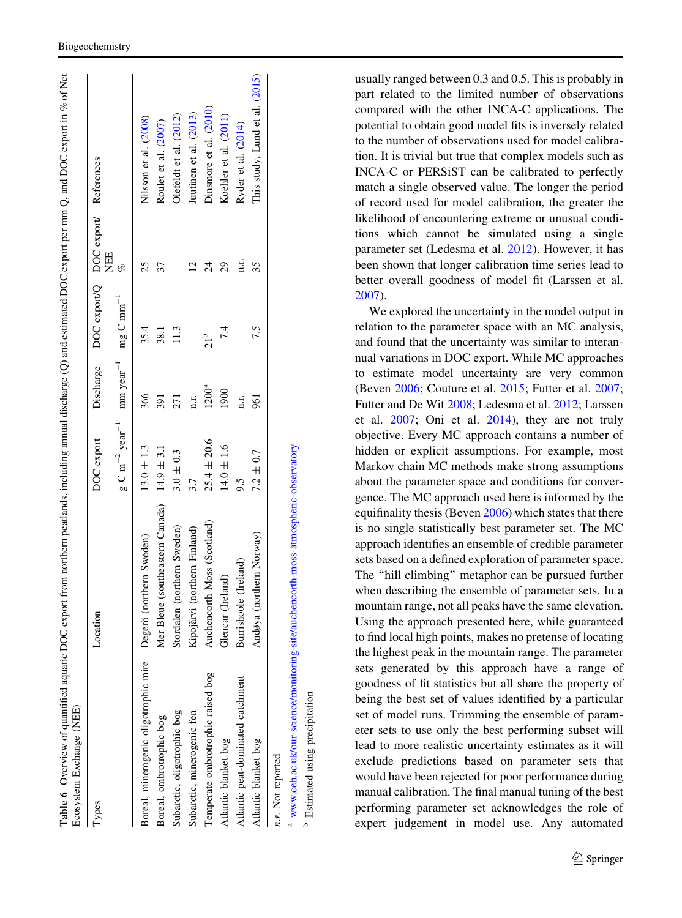<span id="page-12-0"></span>

| lypes                                                          | Location                                       | DOC export                                                                          |            | Discharge DOC export/Q DOC export/ References | H<br>N<br>E                 |                                |
|----------------------------------------------------------------|------------------------------------------------|-------------------------------------------------------------------------------------|------------|-----------------------------------------------|-----------------------------|--------------------------------|
|                                                                |                                                | $g \text{ C m}^{-2}$ year <sup>-1</sup> mm year <sup>-1</sup> mg C mm <sup>-1</sup> |            |                                               | of                          |                                |
| Boreal, minerogenic oligotrophic mire Degerö (northern Sweden) |                                                | $13.0 \pm 1.3$                                                                      | 366        | 35.4                                          | 25                          | Nilsson et al. (2008)          |
| Boreal, ombrotrophic bog                                       | Mer Bleue (southeastern Canada) $14.9 \pm 3.1$ |                                                                                     | 391        | 38.1                                          | 37                          | Roulet et al. (2007)           |
| Subarctic, oligotrophic bog                                    | Stordalen (northern Sweden)                    | $3.0 \pm 0.3$                                                                       | 271        | 113                                           |                             | Olefeldt et al. (2012)         |
| Subarctic, minerogenic fen                                     | Kipojärvi (northern Finland)                   | 3.7                                                                                 | n.r.       |                                               | $\mathcal{C}_{\mathcal{C}}$ | Juutinen et al. (2013)         |
| Temperate ombrotrophic raised bog                              | Auchencorth Moss (Scotland)                    | $25.4 \pm 20.6$                                                                     | $1200^{a}$ | 21 <sup>b</sup>                               | $\overline{24}$             | Dinsmore et al. (2010)         |
| Atlantic blanket bog                                           | Glencar (Ireland)                              | $14.0 \pm 1.6$                                                                      | 1900       | 7.4                                           | 29                          | Koehler et al. (2011)          |
| Atlantic peat-dominated catchment                              | Burrishoole (Ireland)                          | 9.5                                                                                 | n.r.       |                                               | n.r.                        | Ryder et al. (2014)            |
| Atlantic blanket bog                                           | Andøya (northern Norway)                       | $7.2 \pm 0.7$                                                                       | 961        | 7.5                                           | 35                          | This study, Lund et al. (2015) |

ء

Estimated using precipitation

Estimated using precipitation

usually ranged between 0.3 and 0.5. This is probably in part related to the limited number of observations compared with the other INCA-C applications. The potential to obtain good model fits is inversely related to the number of observations used for model calibration. It is trivial but true that complex models such as INCA-C or PERSiST can be calibrated to perfectly match a single observed value. The longer the period of record used for model calibration, the greater the likelihood of encountering extreme or unusual conditions which cannot be simulated using a single parameter set (Ledesma et al. [2012\)](#page-15-0). However, it has been shown that longer calibration time series lead to better overall goodness of model fit (Larssen et al. [2007\)](#page-15-0).

We explored the uncertainty in the model output in relation to the parameter space with an MC analysis, and found that the uncertainty was similar to interannual variations in DOC export. While MC approaches to estimate model uncertainty are very common (Beven [2006;](#page-14-0) Couture et al. [2015](#page-14-0); Futter et al. [2007](#page-15-0) ; Futter and De Wit [2008](#page-15-0); Ledesma et al. [2012](#page-15-0); Larssen et al. [2007](#page-15-0); Oni et al. [2014\)](#page-16-0), they are not truly objective. Every MC approach contains a number of hidden or explicit assumptions. For example, most Markov chain MC methods make strong assumptions about the parameter space and conditions for convergence. The MC approach used here is informed by the equifinality thesis (Beven [2006\)](#page-14-0) which states that there is no single statistically best parameter set. The MC approach identifies an ensemble of credible parameter sets based on a defined exploration of parameter space. The ''hill climbing'' metaphor can be pursued further when describing the ensemble of parameter sets. In a mountain range, not all peaks have the same elevation. Using the approach presented here, while guaranteed to find local high points, makes no pretense of locating the highest peak in the mountain range. The parameter sets generated by this approach have a range of goodness of fit statistics but all share the property of being the best set of values identified by a particular set of model runs. Trimming the ensemble of parameter sets to use only the best performing subset will lead to more realistic uncertainty estimates as it will exclude predictions based on parameter sets that would have been rejected for poor performance during manual calibration. The final manual tuning of the best performing parameter set acknowledges the role of expert judgement in model use. Any automated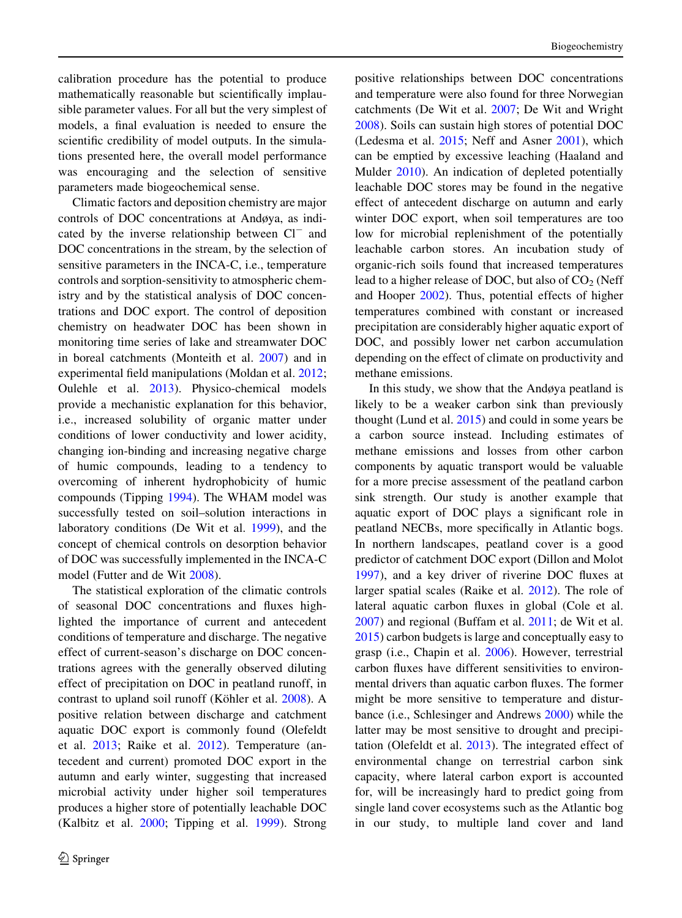calibration procedure has the potential to produce mathematically reasonable but scientifically implausible parameter values. For all but the very simplest of models, a final evaluation is needed to ensure the scientific credibility of model outputs. In the simulations presented here, the overall model performance was encouraging and the selection of sensitive parameters made biogeochemical sense.

Climatic factors and deposition chemistry are major controls of DOC concentrations at Andøya, as indicated by the inverse relationship between  $Cl^-$  and DOC concentrations in the stream, by the selection of sensitive parameters in the INCA-C, i.e., temperature controls and sorption-sensitivity to atmospheric chemistry and by the statistical analysis of DOC concentrations and DOC export. The control of deposition chemistry on headwater DOC has been shown in monitoring time series of lake and streamwater DOC in boreal catchments (Monteith et al. [2007\)](#page-15-0) and in experimental field manipulations (Moldan et al. [2012](#page-15-0); Oulehle et al. [2013\)](#page-16-0). Physico-chemical models provide a mechanistic explanation for this behavior, i.e., increased solubility of organic matter under conditions of lower conductivity and lower acidity, changing ion-binding and increasing negative charge of humic compounds, leading to a tendency to overcoming of inherent hydrophobicity of humic compounds (Tipping [1994](#page-16-0)). The WHAM model was successfully tested on soil–solution interactions in laboratory conditions (De Wit et al. [1999](#page-14-0)), and the concept of chemical controls on desorption behavior of DOC was successfully implemented in the INCA-C model (Futter and de Wit [2008\)](#page-15-0).

The statistical exploration of the climatic controls of seasonal DOC concentrations and fluxes highlighted the importance of current and antecedent conditions of temperature and discharge. The negative effect of current-season's discharge on DOC concentrations agrees with the generally observed diluting effect of precipitation on DOC in peatland runoff, in contrast to upland soil runoff (Köhler et al. [2008](#page-15-0)). A positive relation between discharge and catchment aquatic DOC export is commonly found (Olefeldt et al. [2013](#page-16-0); Raike et al. [2012\)](#page-16-0). Temperature (antecedent and current) promoted DOC export in the autumn and early winter, suggesting that increased microbial activity under higher soil temperatures produces a higher store of potentially leachable DOC (Kalbitz et al. [2000](#page-15-0); Tipping et al. [1999\)](#page-16-0). Strong positive relationships between DOC concentrations and temperature were also found for three Norwegian catchments (De Wit et al. [2007](#page-14-0); De Wit and Wright [2008\)](#page-14-0). Soils can sustain high stores of potential DOC (Ledesma et al. [2015](#page-15-0); Neff and Asner [2001](#page-16-0)), which can be emptied by excessive leaching (Haaland and Mulder [2010](#page-15-0)). An indication of depleted potentially leachable DOC stores may be found in the negative effect of antecedent discharge on autumn and early winter DOC export, when soil temperatures are too low for microbial replenishment of the potentially leachable carbon stores. An incubation study of organic-rich soils found that increased temperatures lead to a higher release of DOC, but also of  $CO<sub>2</sub>$  (Neff and Hooper [2002\)](#page-16-0). Thus, potential effects of higher temperatures combined with constant or increased precipitation are considerably higher aquatic export of DOC, and possibly lower net carbon accumulation depending on the effect of climate on productivity and methane emissions.

In this study, we show that the Andøya peatland is likely to be a weaker carbon sink than previously thought (Lund et al.  $2015$ ) and could in some years be a carbon source instead. Including estimates of methane emissions and losses from other carbon components by aquatic transport would be valuable for a more precise assessment of the peatland carbon sink strength. Our study is another example that aquatic export of DOC plays a significant role in peatland NECBs, more specifically in Atlantic bogs. In northern landscapes, peatland cover is a good predictor of catchment DOC export (Dillon and Molot [1997\)](#page-14-0), and a key driver of riverine DOC fluxes at larger spatial scales (Raike et al. [2012](#page-16-0)). The role of lateral aquatic carbon fluxes in global (Cole et al. [2007\)](#page-14-0) and regional (Buffam et al. [2011](#page-14-0); de Wit et al. [2015\)](#page-14-0) carbon budgets is large and conceptually easy to grasp (i.e., Chapin et al. [2006](#page-14-0)). However, terrestrial carbon fluxes have different sensitivities to environmental drivers than aquatic carbon fluxes. The former might be more sensitive to temperature and disturbance (i.e., Schlesinger and Andrews [2000](#page-16-0)) while the latter may be most sensitive to drought and precipitation (Olefeldt et al. [2013](#page-16-0)). The integrated effect of environmental change on terrestrial carbon sink capacity, where lateral carbon export is accounted for, will be increasingly hard to predict going from single land cover ecosystems such as the Atlantic bog in our study, to multiple land cover and land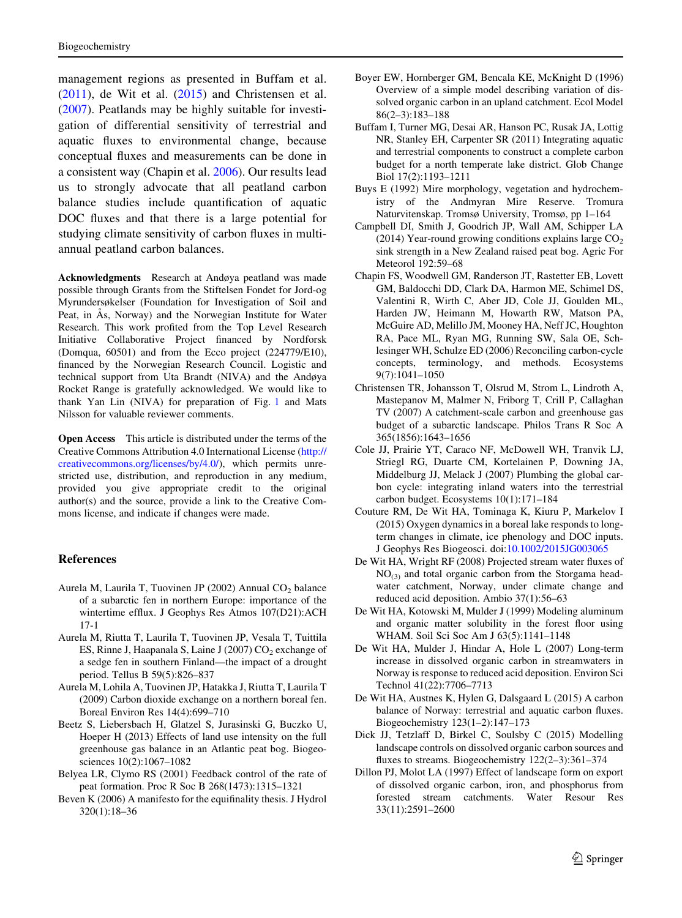<span id="page-14-0"></span>management regions as presented in Buffam et al. (2011), de Wit et al. (2015) and Christensen et al. (2007). Peatlands may be highly suitable for investigation of differential sensitivity of terrestrial and aquatic fluxes to environmental change, because conceptual fluxes and measurements can be done in a consistent way (Chapin et al. 2006). Our results lead us to strongly advocate that all peatland carbon balance studies include quantification of aquatic DOC fluxes and that there is a large potential for studying climate sensitivity of carbon fluxes in multiannual peatland carbon balances.

Acknowledgments Research at Andøya peatland was made possible through Grants from the Stiftelsen Fondet for Jord-og Myrundersøkelser (Foundation for Investigation of Soil and Peat, in As, Norway) and the Norwegian Institute for Water Research. This work profited from the Top Level Research Initiative Collaborative Project financed by Nordforsk (Domqua, 60501) and from the Ecco project (224779/E10), financed by the Norwegian Research Council. Logistic and technical support from Uta Brandt (NIVA) and the Andøya Rocket Range is gratefully acknowledged. We would like to thank Yan Lin (NIVA) for preparation of Fig. [1](#page-2-0) and Mats Nilsson for valuable reviewer comments.

Open Access This article is distributed under the terms of the Creative Commons Attribution 4.0 International License ([http://](http://creativecommons.org/licenses/by/4.0/) [creativecommons.org/licenses/by/4.0/\)](http://creativecommons.org/licenses/by/4.0/), which permits unrestricted use, distribution, and reproduction in any medium, provided you give appropriate credit to the original author(s) and the source, provide a link to the Creative Commons license, and indicate if changes were made.

### References

- Aurela M, Laurila T, Tuovinen JP (2002) Annual CO<sub>2</sub> balance of a subarctic fen in northern Europe: importance of the wintertime efflux. J Geophys Res Atmos 107(D21):ACH 17-1
- Aurela M, Riutta T, Laurila T, Tuovinen JP, Vesala T, Tuittila ES, Rinne J, Haapanala S, Laine J (2007)  $CO<sub>2</sub>$  exchange of a sedge fen in southern Finland—the impact of a drought period. Tellus B 59(5):826–837
- Aurela M, Lohila A, Tuovinen JP, Hatakka J, Riutta T, Laurila T (2009) Carbon dioxide exchange on a northern boreal fen. Boreal Environ Res 14(4):699–710
- Beetz S, Liebersbach H, Glatzel S, Jurasinski G, Buczko U, Hoeper H (2013) Effects of land use intensity on the full greenhouse gas balance in an Atlantic peat bog. Biogeosciences 10(2):1067–1082
- Belyea LR, Clymo RS (2001) Feedback control of the rate of peat formation. Proc R Soc B 268(1473):1315–1321
- Beven K (2006) A manifesto for the equifinality thesis. J Hydrol 320(1):18–36
- Boyer EW, Hornberger GM, Bencala KE, McKnight D (1996) Overview of a simple model describing variation of dissolved organic carbon in an upland catchment. Ecol Model 86(2–3):183–188
- Buffam I, Turner MG, Desai AR, Hanson PC, Rusak JA, Lottig NR, Stanley EH, Carpenter SR (2011) Integrating aquatic and terrestrial components to construct a complete carbon budget for a north temperate lake district. Glob Change Biol 17(2):1193–1211
- Buys E (1992) Mire morphology, vegetation and hydrochemistry of the Andmyran Mire Reserve. Tromura Naturvitenskap. Tromsø University, Tromsø, pp 1–164
- Campbell DI, Smith J, Goodrich JP, Wall AM, Schipper LA (2014) Year-round growing conditions explains large  $CO<sub>2</sub>$ sink strength in a New Zealand raised peat bog. Agric For Meteorol 192:59–68
- Chapin FS, Woodwell GM, Randerson JT, Rastetter EB, Lovett GM, Baldocchi DD, Clark DA, Harmon ME, Schimel DS, Valentini R, Wirth C, Aber JD, Cole JJ, Goulden ML, Harden JW, Heimann M, Howarth RW, Matson PA, McGuire AD, Melillo JM, Mooney HA, Neff JC, Houghton RA, Pace ML, Ryan MG, Running SW, Sala OE, Schlesinger WH, Schulze ED (2006) Reconciling carbon-cycle concepts, terminology, and methods. Ecosystems 9(7):1041–1050
- Christensen TR, Johansson T, Olsrud M, Strom L, Lindroth A, Mastepanov M, Malmer N, Friborg T, Crill P, Callaghan TV (2007) A catchment-scale carbon and greenhouse gas budget of a subarctic landscape. Philos Trans R Soc A 365(1856):1643–1656
- Cole JJ, Prairie YT, Caraco NF, McDowell WH, Tranvik LJ, Striegl RG, Duarte CM, Kortelainen P, Downing JA, Middelburg JJ, Melack J (2007) Plumbing the global carbon cycle: integrating inland waters into the terrestrial carbon budget. Ecosystems 10(1):171–184
- Couture RM, De Wit HA, Tominaga K, Kiuru P, Markelov I (2015) Oxygen dynamics in a boreal lake responds to longterm changes in climate, ice phenology and DOC inputs. J Geophys Res Biogeosci. doi:[10.1002/2015JG003065](http://dx.doi.org/10.1002/2015JG003065)
- De Wit HA, Wright RF (2008) Projected stream water fluxes of  $NO<sub>(3)</sub>$  and total organic carbon from the Storgama headwater catchment, Norway, under climate change and reduced acid deposition. Ambio 37(1):56–63
- De Wit HA, Kotowski M, Mulder J (1999) Modeling aluminum and organic matter solubility in the forest floor using WHAM. Soil Sci Soc Am J 63(5):1141–1148
- De Wit HA, Mulder J, Hindar A, Hole L (2007) Long-term increase in dissolved organic carbon in streamwaters in Norway is response to reduced acid deposition. Environ Sci Technol 41(22):7706–7713
- De Wit HA, Austnes K, Hylen G, Dalsgaard L (2015) A carbon balance of Norway: terrestrial and aquatic carbon fluxes. Biogeochemistry 123(1–2):147–173
- Dick JJ, Tetzlaff D, Birkel C, Soulsby C (2015) Modelling landscape controls on dissolved organic carbon sources and fluxes to streams. Biogeochemistry 122(2–3):361–374
- Dillon PJ, Molot LA (1997) Effect of landscape form on export of dissolved organic carbon, iron, and phosphorus from forested stream catchments. Water Resour Res 33(11):2591–2600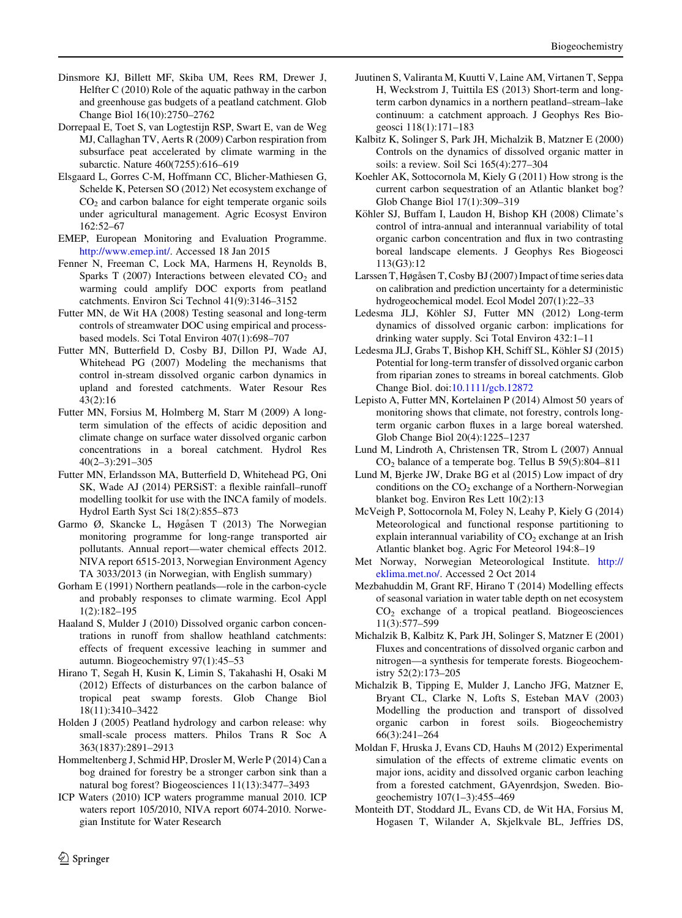- <span id="page-15-0"></span>Dinsmore KJ, Billett MF, Skiba UM, Rees RM, Drewer J, Helfter C (2010) Role of the aquatic pathway in the carbon and greenhouse gas budgets of a peatland catchment. Glob Change Biol 16(10):2750–2762
- Dorrepaal E, Toet S, van Logtestijn RSP, Swart E, van de Weg MJ, Callaghan TV, Aerts R (2009) Carbon respiration from subsurface peat accelerated by climate warming in the subarctic. Nature 460(7255):616–619
- Elsgaard L, Gorres C-M, Hoffmann CC, Blicher-Mathiesen G, Schelde K, Petersen SO (2012) Net ecosystem exchange of  $CO<sub>2</sub>$  and carbon balance for eight temperate organic soils under agricultural management. Agric Ecosyst Environ 162:52–67
- EMEP, European Monitoring and Evaluation Programme. <http://www.emep.int/>. Accessed 18 Jan 2015
- Fenner N, Freeman C, Lock MA, Harmens H, Reynolds B, Sparks T (2007) Interactions between elevated  $CO<sub>2</sub>$  and warming could amplify DOC exports from peatland catchments. Environ Sci Technol 41(9):3146–3152
- Futter MN, de Wit HA (2008) Testing seasonal and long-term controls of streamwater DOC using empirical and processbased models. Sci Total Environ 407(1):698–707
- Futter MN, Butterfield D, Cosby BJ, Dillon PJ, Wade AJ, Whitehead PG (2007) Modeling the mechanisms that control in-stream dissolved organic carbon dynamics in upland and forested catchments. Water Resour Res 43(2):16
- Futter MN, Forsius M, Holmberg M, Starr M (2009) A longterm simulation of the effects of acidic deposition and climate change on surface water dissolved organic carbon concentrations in a boreal catchment. Hydrol Res 40(2–3):291–305
- Futter MN, Erlandsson MA, Butterfield D, Whitehead PG, Oni SK, Wade AJ (2014) PERSiST: a flexible rainfall–runoff modelling toolkit for use with the INCA family of models. Hydrol Earth Syst Sci 18(2):855–873
- Garmo Ø, Skancke L, Høgåsen T (2013) The Norwegian monitoring programme for long-range transported air pollutants. Annual report—water chemical effects 2012. NIVA report 6515-2013, Norwegian Environment Agency TA 3033/2013 (in Norwegian, with English summary)
- Gorham E (1991) Northern peatlands—role in the carbon-cycle and probably responses to climate warming. Ecol Appl 1(2):182–195
- Haaland S, Mulder J (2010) Dissolved organic carbon concentrations in runoff from shallow heathland catchments: effects of frequent excessive leaching in summer and autumn. Biogeochemistry 97(1):45–53
- Hirano T, Segah H, Kusin K, Limin S, Takahashi H, Osaki M (2012) Effects of disturbances on the carbon balance of tropical peat swamp forests. Glob Change Biol 18(11):3410–3422
- Holden J (2005) Peatland hydrology and carbon release: why small-scale process matters. Philos Trans R Soc A 363(1837):2891–2913
- Hommeltenberg J, Schmid HP, Drosler M, Werle P (2014) Can a bog drained for forestry be a stronger carbon sink than a natural bog forest? Biogeosciences 11(13):3477–3493
- ICP Waters (2010) ICP waters programme manual 2010. ICP waters report 105/2010, NIVA report 6074-2010. Norwegian Institute for Water Research
- Juutinen S, Valiranta M, Kuutti V, Laine AM, Virtanen T, Seppa H, Weckstrom J, Tuittila ES (2013) Short-term and longterm carbon dynamics in a northern peatland–stream–lake continuum: a catchment approach. J Geophys Res Biogeosci 118(1):171–183
- Kalbitz K, Solinger S, Park JH, Michalzik B, Matzner E (2000) Controls on the dynamics of dissolved organic matter in soils: a review. Soil Sci 165(4):277–304
- Koehler AK, Sottocornola M, Kiely G (2011) How strong is the current carbon sequestration of an Atlantic blanket bog? Glob Change Biol 17(1):309–319
- Köhler SJ, Buffam I, Laudon H, Bishop KH (2008) Climate's control of intra-annual and interannual variability of total organic carbon concentration and flux in two contrasting boreal landscape elements. J Geophys Res Biogeosci 113(G3):12
- Larssen T, Høgåsen T, Cosby BJ (2007) Impact of time series data on calibration and prediction uncertainty for a deterministic hydrogeochemical model. Ecol Model 207(1):22–33
- Ledesma JLJ, Köhler SJ, Futter MN (2012) Long-term dynamics of dissolved organic carbon: implications for drinking water supply. Sci Total Environ 432:1–11
- Ledesma JLJ, Grabs T, Bishop KH, Schiff SL, Köhler SJ (2015) Potential for long-term transfer of dissolved organic carbon from riparian zones to streams in boreal catchments. Glob Change Biol. doi:[10.1111/gcb.12872](http://dx.doi.org/10.1111/gcb.12872)
- Lepisto A, Futter MN, Kortelainen P (2014) Almost 50 years of monitoring shows that climate, not forestry, controls longterm organic carbon fluxes in a large boreal watershed. Glob Change Biol 20(4):1225–1237
- Lund M, Lindroth A, Christensen TR, Strom L (2007) Annual CO2 balance of a temperate bog. Tellus B 59(5):804–811
- Lund M, Bjerke JW, Drake BG et al (2015) Low impact of dry conditions on the  $CO<sub>2</sub>$  exchange of a Northern-Norwegian blanket bog. Environ Res Lett 10(2):13
- McVeigh P, Sottocornola M, Foley N, Leahy P, Kiely G (2014) Meteorological and functional response partitioning to explain interannual variability of  $CO<sub>2</sub>$  exchange at an Irish Atlantic blanket bog. Agric For Meteorol 194:8–19
- Met Norway, Norwegian Meteorological Institute. [http://](http://eklima.met.no/) [eklima.met.no/.](http://eklima.met.no/) Accessed 2 Oct 2014
- Mezbahuddin M, Grant RF, Hirano T (2014) Modelling effects of seasonal variation in water table depth on net ecosystem  $CO<sub>2</sub>$  exchange of a tropical peatland. Biogeosciences 11(3):577–599
- Michalzik B, Kalbitz K, Park JH, Solinger S, Matzner E (2001) Fluxes and concentrations of dissolved organic carbon and nitrogen—a synthesis for temperate forests. Biogeochemistry 52(2):173–205
- Michalzik B, Tipping E, Mulder J, Lancho JFG, Matzner E, Bryant CL, Clarke N, Lofts S, Esteban MAV (2003) Modelling the production and transport of dissolved organic carbon in forest soils. Biogeochemistry 66(3):241–264
- Moldan F, Hruska J, Evans CD, Hauhs M (2012) Experimental simulation of the effects of extreme climatic events on major ions, acidity and dissolved organic carbon leaching from a forested catchment, GAyenrdsjon, Sweden. Biogeochemistry 107(1–3):455–469
- Monteith DT, Stoddard JL, Evans CD, de Wit HA, Forsius M, Hogasen T, Wilander A, Skjelkvale BL, Jeffries DS,